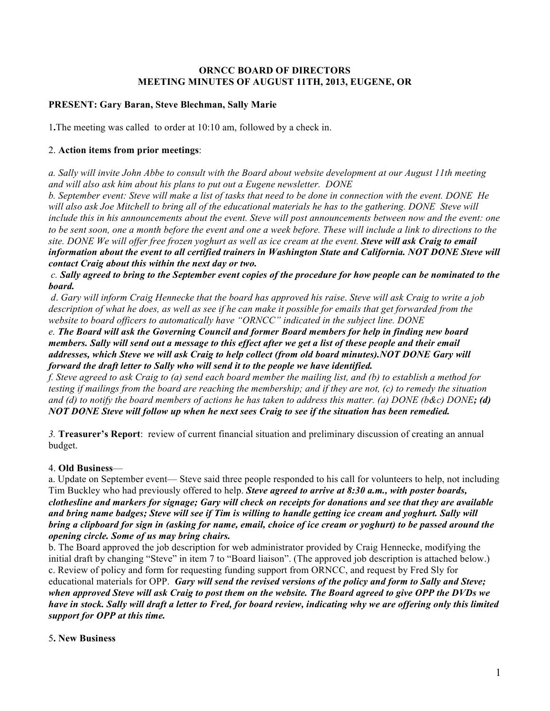## **ORNCC BOARD OF DIRECTORS MEETING MINUTES OF AUGUST 11TH, 2013, EUGENE, OR**

# **PRESENT: Gary Baran, Steve Blechman, Sally Marie**

1**.**The meeting was called to order at 10:10 am, followed by a check in.

### 2. **Action items from prior meetings**:

*a. Sally will invite John Abbe to consult with the Board about website development at our August 11th meeting and will also ask him about his plans to put out a Eugene newsletter. DONE* 

*b. September event: Steve will make a list of tasks that need to be done in connection with the event. DONE He will also ask Joe Mitchell to bring all of the educational materials he has to the gathering. DONE Steve will include this in his announcements about the event. Steve will post announcements between now and the event: one to be sent soon, one a month before the event and one a week before. These will include a link to directions to the site. DONE We will offer free frozen yoghurt as well as ice cream at the event. Steve will ask Craig to email information about the event to all certified trainers in Washington State and California. NOT DONE Steve will contact Craig about this within the next day or two.*

*c. Sally agreed to bring to the September event copies of the procedure for how people can be nominated to the board.*

*d*. *Gary will inform Craig Hennecke that the board has approved his raise*. *Steve will ask Craig to write a job*  description of what he does, as well as see if he can make it possible for emails that get forwarded from the *website to board officers to automatically have "ORNCC" indicated in the subject line. DONE* 

*e. The Board will ask the Governing Council and former Board members for help in finding new board members. Sally will send out a message to this effect after we get a list of these people and their email addresses, which Steve we will ask Craig to help collect (from old board minutes).NOT DONE Gary will forward the draft letter to Sally who will send it to the people we have identified.*

*f. Steve agreed to ask Craig to (a) send each board member the mailing list, and (b) to establish a method for testing if mailings from the board are reaching the membership; and if they are not, (c) to remedy the situation and (d) to notify the board members of actions he has taken to address this matter. (a) DONE (b&c) DONE; (d) NOT DONE Steve will follow up when he next sees Craig to see if the situation has been remedied.*

*3.* **Treasurer's Report**: review of current financial situation and preliminary discussion of creating an annual budget.

### 4. **Old Business**—

a. Update on September event— Steve said three people responded to his call for volunteers to help, not including Tim Buckley who had previously offered to help. *Steve agreed to arrive at 8:30 a.m., with poster boards, clothesline and markers for signage; Gary will check on receipts for donations and see that they are available and bring name badges; Steve will see if Tim is willing to handle getting ice cream and yoghurt. Sally will bring a clipboard for sign in (asking for name, email, choice of ice cream or yoghurt) to be passed around the opening circle. Some of us may bring chairs.*

b. The Board approved the job description for web administrator provided by Craig Hennecke, modifying the initial draft by changing "Steve" in item 7 to "Board liaison". (The approved job description is attached below.) c. Review of policy and form for requesting funding support from ORNCC, and request by Fred Sly for educational materials for OPP. *Gary will send the revised versions of the policy and form to Sally and Steve; when approved Steve will ask Craig to post them on the website. The Board agreed to give OPP the DVDs we have in stock. Sally will draft a letter to Fred, for board review, indicating why we are offering only this limited support for OPP at this time.*

### 5**. New Business**